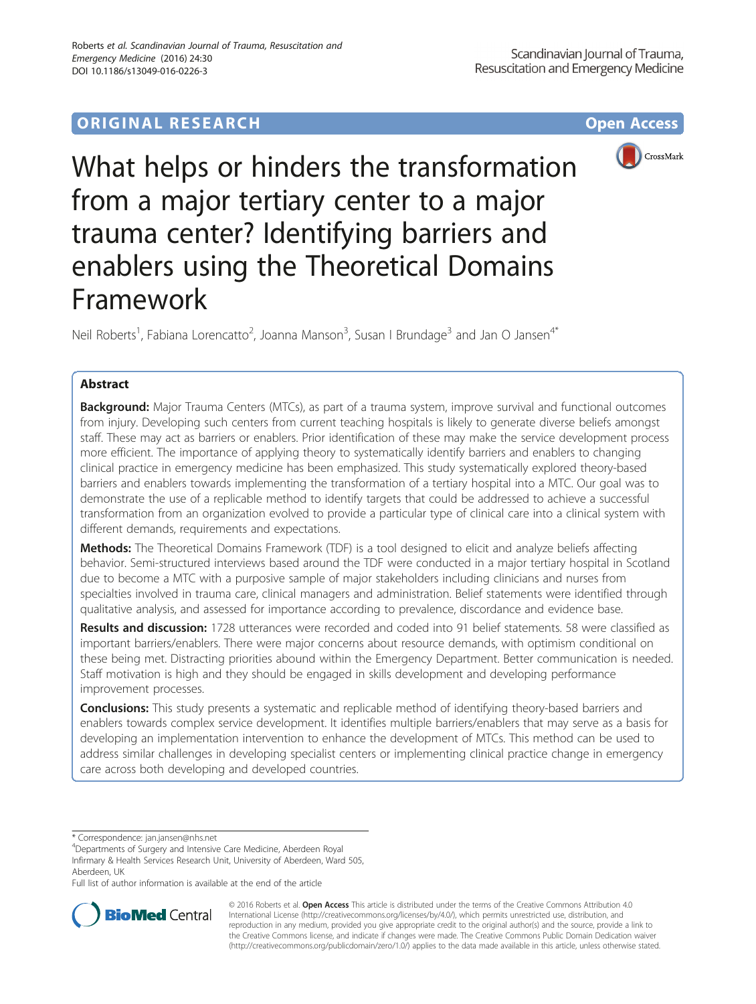# **ORIGINAL RESEARCH CONSUMING ACCESS**



What helps or hinders the transformation from a major tertiary center to a major trauma center? Identifying barriers and enablers using the Theoretical Domains Framework

Neil Roberts<sup>1</sup>, Fabiana Lorencatto<sup>2</sup>, Joanna Manson<sup>3</sup>, Susan I Brundage<sup>3</sup> and Jan O Jansen<sup>4\*</sup>

# Abstract

Background: Major Trauma Centers (MTCs), as part of a trauma system, improve survival and functional outcomes from injury. Developing such centers from current teaching hospitals is likely to generate diverse beliefs amongst staff. These may act as barriers or enablers. Prior identification of these may make the service development process more efficient. The importance of applying theory to systematically identify barriers and enablers to changing clinical practice in emergency medicine has been emphasized. This study systematically explored theory-based barriers and enablers towards implementing the transformation of a tertiary hospital into a MTC. Our goal was to demonstrate the use of a replicable method to identify targets that could be addressed to achieve a successful transformation from an organization evolved to provide a particular type of clinical care into a clinical system with different demands, requirements and expectations.

Methods: The Theoretical Domains Framework (TDF) is a tool designed to elicit and analyze beliefs affecting behavior. Semi-structured interviews based around the TDF were conducted in a major tertiary hospital in Scotland due to become a MTC with a purposive sample of major stakeholders including clinicians and nurses from specialties involved in trauma care, clinical managers and administration. Belief statements were identified through qualitative analysis, and assessed for importance according to prevalence, discordance and evidence base.

Results and discussion: 1728 utterances were recorded and coded into 91 belief statements. 58 were classified as important barriers/enablers. There were major concerns about resource demands, with optimism conditional on these being met. Distracting priorities abound within the Emergency Department. Better communication is needed. Staff motivation is high and they should be engaged in skills development and developing performance improvement processes.

**Conclusions:** This study presents a systematic and replicable method of identifying theory-based barriers and enablers towards complex service development. It identifies multiple barriers/enablers that may serve as a basis for developing an implementation intervention to enhance the development of MTCs. This method can be used to address similar challenges in developing specialist centers or implementing clinical practice change in emergency care across both developing and developed countries.

<sup>4</sup>Departments of Surgery and Intensive Care Medicine, Aberdeen Royal Infirmary & Health Services Research Unit, University of Aberdeen, Ward 505, Aberdeen, UK

Full list of author information is available at the end of the article



© 2016 Roberts et al. Open Access This article is distributed under the terms of the Creative Commons Attribution 4.0 International License [\(http://creativecommons.org/licenses/by/4.0/](http://creativecommons.org/licenses/by/4.0/)), which permits unrestricted use, distribution, and reproduction in any medium, provided you give appropriate credit to the original author(s) and the source, provide a link to the Creative Commons license, and indicate if changes were made. The Creative Commons Public Domain Dedication waiver [\(http://creativecommons.org/publicdomain/zero/1.0/](http://creativecommons.org/publicdomain/zero/1.0/)) applies to the data made available in this article, unless otherwise stated.

<sup>\*</sup> Correspondence: [jan.jansen@nhs.net](mailto:jan.jansen@nhs.net) <sup>4</sup>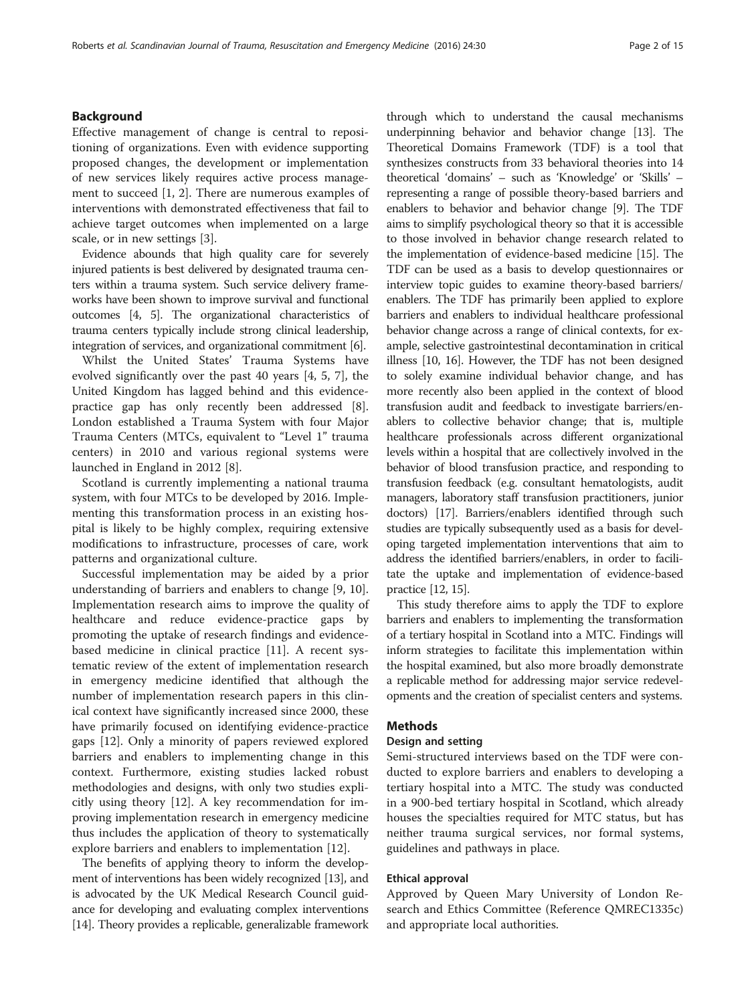## Background

Effective management of change is central to repositioning of organizations. Even with evidence supporting proposed changes, the development or implementation of new services likely requires active process management to succeed [[1, 2\]](#page-13-0). There are numerous examples of interventions with demonstrated effectiveness that fail to achieve target outcomes when implemented on a large scale, or in new settings [[3\]](#page-14-0).

Evidence abounds that high quality care for severely injured patients is best delivered by designated trauma centers within a trauma system. Such service delivery frameworks have been shown to improve survival and functional outcomes [[4](#page-14-0), [5](#page-14-0)]. The organizational characteristics of trauma centers typically include strong clinical leadership, integration of services, and organizational commitment [[6](#page-14-0)].

Whilst the United States' Trauma Systems have evolved significantly over the past 40 years [\[4](#page-14-0), [5](#page-14-0), [7\]](#page-14-0), the United Kingdom has lagged behind and this evidencepractice gap has only recently been addressed [\[8](#page-14-0)]. London established a Trauma System with four Major Trauma Centers (MTCs, equivalent to "Level 1" trauma centers) in 2010 and various regional systems were launched in England in 2012 [\[8](#page-14-0)].

Scotland is currently implementing a national trauma system, with four MTCs to be developed by 2016. Implementing this transformation process in an existing hospital is likely to be highly complex, requiring extensive modifications to infrastructure, processes of care, work patterns and organizational culture.

Successful implementation may be aided by a prior understanding of barriers and enablers to change [\[9](#page-14-0), [10](#page-14-0)]. Implementation research aims to improve the quality of healthcare and reduce evidence-practice gaps by promoting the uptake of research findings and evidencebased medicine in clinical practice [[11\]](#page-14-0). A recent systematic review of the extent of implementation research in emergency medicine identified that although the number of implementation research papers in this clinical context have significantly increased since 2000, these have primarily focused on identifying evidence-practice gaps [[12\]](#page-14-0). Only a minority of papers reviewed explored barriers and enablers to implementing change in this context. Furthermore, existing studies lacked robust methodologies and designs, with only two studies explicitly using theory [[12](#page-14-0)]. A key recommendation for improving implementation research in emergency medicine thus includes the application of theory to systematically explore barriers and enablers to implementation [[12\]](#page-14-0).

The benefits of applying theory to inform the development of interventions has been widely recognized [[13](#page-14-0)], and is advocated by the UK Medical Research Council guidance for developing and evaluating complex interventions [[14](#page-14-0)]. Theory provides a replicable, generalizable framework through which to understand the causal mechanisms underpinning behavior and behavior change [\[13\]](#page-14-0). The Theoretical Domains Framework (TDF) is a tool that synthesizes constructs from 33 behavioral theories into 14 theoretical 'domains' – such as 'Knowledge' or 'Skills' – representing a range of possible theory-based barriers and enablers to behavior and behavior change [[9\]](#page-14-0). The TDF aims to simplify psychological theory so that it is accessible to those involved in behavior change research related to the implementation of evidence-based medicine [[15](#page-14-0)]. The TDF can be used as a basis to develop questionnaires or interview topic guides to examine theory-based barriers/ enablers. The TDF has primarily been applied to explore barriers and enablers to individual healthcare professional behavior change across a range of clinical contexts, for example, selective gastrointestinal decontamination in critical illness [[10](#page-14-0), [16](#page-14-0)]. However, the TDF has not been designed to solely examine individual behavior change, and has more recently also been applied in the context of blood transfusion audit and feedback to investigate barriers/enablers to collective behavior change; that is, multiple healthcare professionals across different organizational levels within a hospital that are collectively involved in the behavior of blood transfusion practice, and responding to transfusion feedback (e.g. consultant hematologists, audit managers, laboratory staff transfusion practitioners, junior doctors) [\[17\]](#page-14-0). Barriers/enablers identified through such studies are typically subsequently used as a basis for developing targeted implementation interventions that aim to address the identified barriers/enablers, in order to facilitate the uptake and implementation of evidence-based practice [\[12, 15](#page-14-0)].

This study therefore aims to apply the TDF to explore barriers and enablers to implementing the transformation of a tertiary hospital in Scotland into a MTC. Findings will inform strategies to facilitate this implementation within the hospital examined, but also more broadly demonstrate a replicable method for addressing major service redevelopments and the creation of specialist centers and systems.

## **Methods**

#### Design and setting

Semi-structured interviews based on the TDF were conducted to explore barriers and enablers to developing a tertiary hospital into a MTC. The study was conducted in a 900-bed tertiary hospital in Scotland, which already houses the specialties required for MTC status, but has neither trauma surgical services, nor formal systems, guidelines and pathways in place.

#### Ethical approval

Approved by Queen Mary University of London Research and Ethics Committee (Reference QMREC1335c) and appropriate local authorities.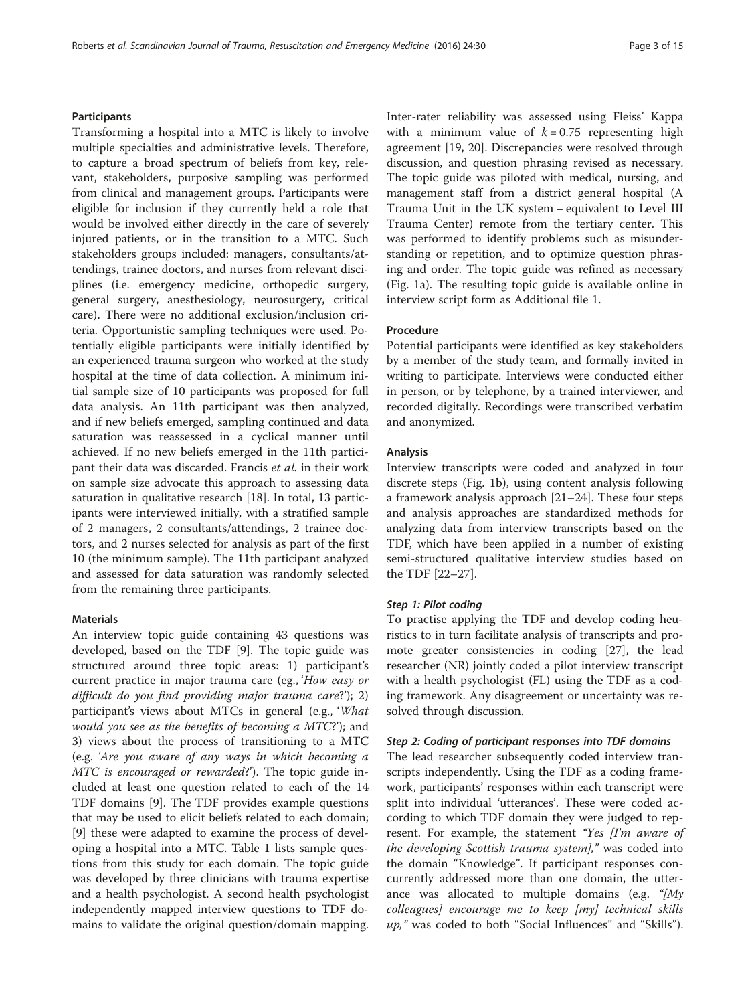### Participants

Transforming a hospital into a MTC is likely to involve multiple specialties and administrative levels. Therefore, to capture a broad spectrum of beliefs from key, relevant, stakeholders, purposive sampling was performed from clinical and management groups. Participants were eligible for inclusion if they currently held a role that would be involved either directly in the care of severely injured patients, or in the transition to a MTC. Such stakeholders groups included: managers, consultants/attendings, trainee doctors, and nurses from relevant disciplines (i.e. emergency medicine, orthopedic surgery, general surgery, anesthesiology, neurosurgery, critical care). There were no additional exclusion/inclusion criteria. Opportunistic sampling techniques were used. Potentially eligible participants were initially identified by an experienced trauma surgeon who worked at the study hospital at the time of data collection. A minimum initial sample size of 10 participants was proposed for full data analysis. An 11th participant was then analyzed, and if new beliefs emerged, sampling continued and data saturation was reassessed in a cyclical manner until achieved. If no new beliefs emerged in the 11th participant their data was discarded. Francis et al. in their work on sample size advocate this approach to assessing data saturation in qualitative research [\[18](#page-14-0)]. In total, 13 participants were interviewed initially, with a stratified sample of 2 managers, 2 consultants/attendings, 2 trainee doctors, and 2 nurses selected for analysis as part of the first 10 (the minimum sample). The 11th participant analyzed and assessed for data saturation was randomly selected from the remaining three participants.

#### **Materials**

An interview topic guide containing 43 questions was developed, based on the TDF [\[9](#page-14-0)]. The topic guide was structured around three topic areas: 1) participant's current practice in major trauma care (eg., 'How easy or difficult do you find providing major trauma care?'); 2) participant's views about MTCs in general (e.g., 'What would you see as the benefits of becoming a MTC?'); and 3) views about the process of transitioning to a MTC (e.g. 'Are you aware of any ways in which becoming a MTC is encouraged or rewarded?'). The topic guide included at least one question related to each of the 14 TDF domains [[9\]](#page-14-0). The TDF provides example questions that may be used to elicit beliefs related to each domain; [[9\]](#page-14-0) these were adapted to examine the process of developing a hospital into a MTC. Table [1](#page-3-0) lists sample questions from this study for each domain. The topic guide was developed by three clinicians with trauma expertise and a health psychologist. A second health psychologist independently mapped interview questions to TDF domains to validate the original question/domain mapping. Inter-rater reliability was assessed using Fleiss' Kappa with a minimum value of  $k = 0.75$  representing high agreement [[19, 20\]](#page-14-0). Discrepancies were resolved through discussion, and question phrasing revised as necessary. The topic guide was piloted with medical, nursing, and management staff from a district general hospital (A Trauma Unit in the UK system − equivalent to Level III Trauma Center) remote from the tertiary center. This was performed to identify problems such as misunderstanding or repetition, and to optimize question phrasing and order. The topic guide was refined as necessary (Fig. [1a](#page-4-0)). The resulting topic guide is available online in interview script form as Additional file [1.](#page-13-0)

#### Procedure

Potential participants were identified as key stakeholders by a member of the study team, and formally invited in writing to participate. Interviews were conducted either in person, or by telephone, by a trained interviewer, and recorded digitally. Recordings were transcribed verbatim and anonymized.

#### Analysis

Interview transcripts were coded and analyzed in four discrete steps (Fig. [1b\)](#page-4-0), using content analysis following a framework analysis approach [\[21](#page-14-0)–[24\]](#page-14-0). These four steps and analysis approaches are standardized methods for analyzing data from interview transcripts based on the TDF, which have been applied in a number of existing semi-structured qualitative interview studies based on the TDF [[22](#page-14-0)–[27\]](#page-14-0).

#### Step 1: Pilot coding

To practise applying the TDF and develop coding heuristics to in turn facilitate analysis of transcripts and promote greater consistencies in coding [\[27\]](#page-14-0), the lead researcher (NR) jointly coded a pilot interview transcript with a health psychologist (FL) using the TDF as a coding framework. Any disagreement or uncertainty was resolved through discussion.

#### Step 2: Coding of participant responses into TDF domains

The lead researcher subsequently coded interview transcripts independently. Using the TDF as a coding framework, participants' responses within each transcript were split into individual 'utterances'. These were coded according to which TDF domain they were judged to represent. For example, the statement "Yes [I'm aware of the developing Scottish trauma system]," was coded into the domain "Knowledge". If participant responses concurrently addressed more than one domain, the utterance was allocated to multiple domains (e.g. "[My colleagues] encourage me to keep [my] technical skills  $up,$ " was coded to both "Social Influences" and "Skills").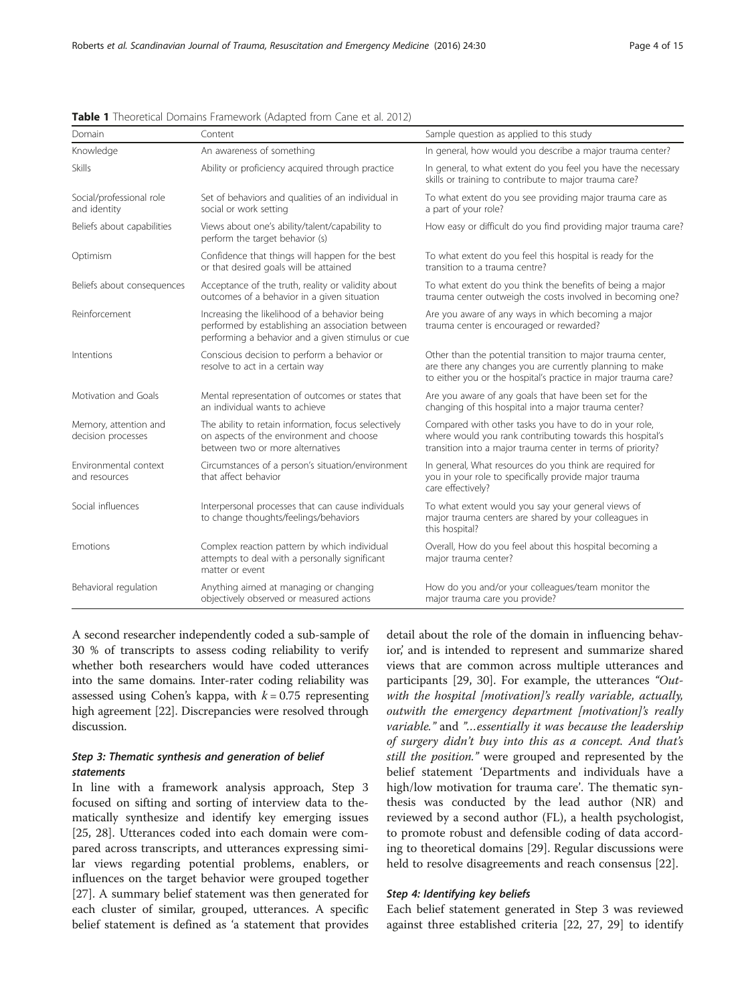| Domain                                      | Content                                                                                                                                                | Sample question as applied to this study                                                                                                                                                  |  |  |  |
|---------------------------------------------|--------------------------------------------------------------------------------------------------------------------------------------------------------|-------------------------------------------------------------------------------------------------------------------------------------------------------------------------------------------|--|--|--|
| Knowledge                                   | An awareness of something                                                                                                                              | In general, how would you describe a major trauma center?                                                                                                                                 |  |  |  |
| <b>Skills</b>                               | Ability or proficiency acquired through practice                                                                                                       | In general, to what extent do you feel you have the necessary<br>skills or training to contribute to major trauma care?                                                                   |  |  |  |
| Social/professional role<br>and identity    | Set of behaviors and qualities of an individual in<br>social or work setting                                                                           | To what extent do you see providing major trauma care as<br>a part of your role?                                                                                                          |  |  |  |
| Beliefs about capabilities                  | Views about one's ability/talent/capability to<br>perform the target behavior (s)                                                                      | How easy or difficult do you find providing major trauma care?                                                                                                                            |  |  |  |
| Optimism                                    | Confidence that things will happen for the best<br>or that desired goals will be attained                                                              | To what extent do you feel this hospital is ready for the<br>transition to a trauma centre?                                                                                               |  |  |  |
| Beliefs about consequences                  | Acceptance of the truth, reality or validity about<br>outcomes of a behavior in a given situation                                                      | To what extent do you think the benefits of being a major<br>trauma center outweigh the costs involved in becoming one?                                                                   |  |  |  |
| Reinforcement                               | Increasing the likelihood of a behavior being<br>performed by establishing an association between<br>performing a behavior and a given stimulus or cue | Are you aware of any ways in which becoming a major<br>trauma center is encouraged or rewarded?                                                                                           |  |  |  |
| Intentions                                  | Conscious decision to perform a behavior or<br>resolve to act in a certain way                                                                         | Other than the potential transition to major trauma center,<br>are there any changes you are currently planning to make<br>to either you or the hospital's practice in major trauma care? |  |  |  |
| Motivation and Goals                        | Mental representation of outcomes or states that<br>an individual wants to achieve                                                                     | Are you aware of any goals that have been set for the<br>changing of this hospital into a major trauma center?                                                                            |  |  |  |
| Memory, attention and<br>decision processes | The ability to retain information, focus selectively<br>on aspects of the environment and choose<br>between two or more alternatives                   | Compared with other tasks you have to do in your role,<br>where would you rank contributing towards this hospital's<br>transition into a major trauma center in terms of priority?        |  |  |  |
| Environmental context<br>and resources      | Circumstances of a person's situation/environment<br>that affect behavior                                                                              | In general, What resources do you think are required for<br>you in your role to specifically provide major trauma<br>care effectively?                                                    |  |  |  |
| Social influences                           | Interpersonal processes that can cause individuals<br>to change thoughts/feelings/behaviors                                                            | To what extent would you say your general views of<br>major trauma centers are shared by your colleagues in<br>this hospital?                                                             |  |  |  |
| Emotions                                    | Complex reaction pattern by which individual<br>attempts to deal with a personally significant<br>matter or event                                      | Overall, How do you feel about this hospital becoming a<br>major trauma center?                                                                                                           |  |  |  |
| Behavioral regulation                       | Anything aimed at managing or changing<br>objectively observed or measured actions                                                                     | How do you and/or your colleagues/team monitor the<br>major trauma care you provide?                                                                                                      |  |  |  |

<span id="page-3-0"></span>Table 1 Theoretical Domains Framework (Adapted from Cane et al. 2012)

A second researcher independently coded a sub-sample of 30 % of transcripts to assess coding reliability to verify whether both researchers would have coded utterances into the same domains. Inter-rater coding reliability was assessed using Cohen's kappa, with  $k = 0.75$  representing high agreement [\[22\]](#page-14-0). Discrepancies were resolved through discussion.

## Step 3: Thematic synthesis and generation of belief statements

In line with a framework analysis approach, Step 3 focused on sifting and sorting of interview data to thematically synthesize and identify key emerging issues [[25, 28](#page-14-0)]. Utterances coded into each domain were compared across transcripts, and utterances expressing similar views regarding potential problems, enablers, or influences on the target behavior were grouped together [[27\]](#page-14-0). A summary belief statement was then generated for each cluster of similar, grouped, utterances. A specific belief statement is defined as 'a statement that provides

detail about the role of the domain in influencing behavior,' and is intended to represent and summarize shared views that are common across multiple utterances and participants [[29, 30\]](#page-14-0). For example, the utterances "Outwith the hospital [motivation]'s really variable, actually, outwith the emergency department [motivation]'s really variable." and "…essentially it was because the leadership of surgery didn't buy into this as a concept. And that's still the position." were grouped and represented by the belief statement 'Departments and individuals have a high/low motivation for trauma care'. The thematic synthesis was conducted by the lead author (NR) and reviewed by a second author (FL), a health psychologist, to promote robust and defensible coding of data according to theoretical domains [\[29](#page-14-0)]. Regular discussions were held to resolve disagreements and reach consensus [\[22](#page-14-0)].

### Step 4: Identifying key beliefs

Each belief statement generated in Step 3 was reviewed against three established criteria [[22, 27, 29\]](#page-14-0) to identify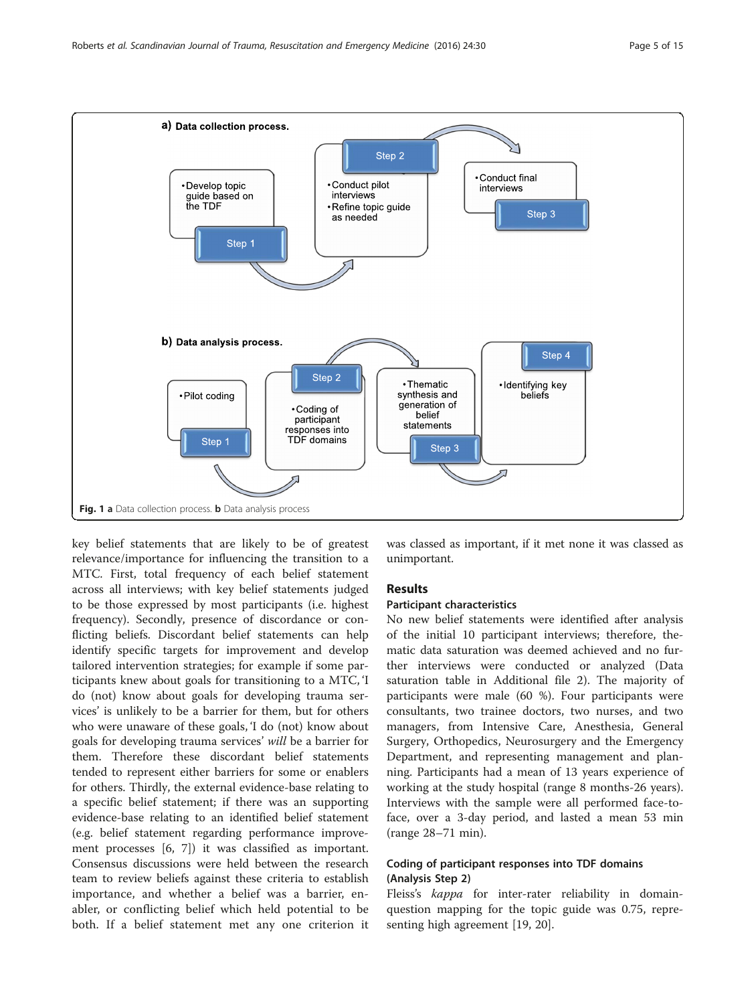<span id="page-4-0"></span>

key belief statements that are likely to be of greatest relevance/importance for influencing the transition to a MTC. First, total frequency of each belief statement across all interviews; with key belief statements judged to be those expressed by most participants (i.e. highest frequency). Secondly, presence of discordance or conflicting beliefs. Discordant belief statements can help identify specific targets for improvement and develop tailored intervention strategies; for example if some participants knew about goals for transitioning to a MTC, 'I do (not) know about goals for developing trauma services' is unlikely to be a barrier for them, but for others who were unaware of these goals, 'I do (not) know about goals for developing trauma services' will be a barrier for them. Therefore these discordant belief statements tended to represent either barriers for some or enablers for others. Thirdly, the external evidence-base relating to a specific belief statement; if there was an supporting evidence-base relating to an identified belief statement (e.g. belief statement regarding performance improvement processes [[6](#page-14-0), [7\]](#page-14-0)) it was classified as important. Consensus discussions were held between the research team to review beliefs against these criteria to establish importance, and whether a belief was a barrier, enabler, or conflicting belief which held potential to be both. If a belief statement met any one criterion it

was classed as important, if it met none it was classed as unimportant.

## Results

## Participant characteristics

No new belief statements were identified after analysis of the initial 10 participant interviews; therefore, thematic data saturation was deemed achieved and no further interviews were conducted or analyzed (Data saturation table in Additional file [2\)](#page-13-0). The majority of participants were male (60 %). Four participants were consultants, two trainee doctors, two nurses, and two managers, from Intensive Care, Anesthesia, General Surgery, Orthopedics, Neurosurgery and the Emergency Department, and representing management and planning. Participants had a mean of 13 years experience of working at the study hospital (range 8 months-26 years). Interviews with the sample were all performed face-toface, over a 3-day period, and lasted a mean 53 min (range 28–71 min).

## Coding of participant responses into TDF domains (Analysis Step 2)

Fleiss's kappa for inter-rater reliability in domainquestion mapping for the topic guide was 0.75, representing high agreement [[19, 20\]](#page-14-0).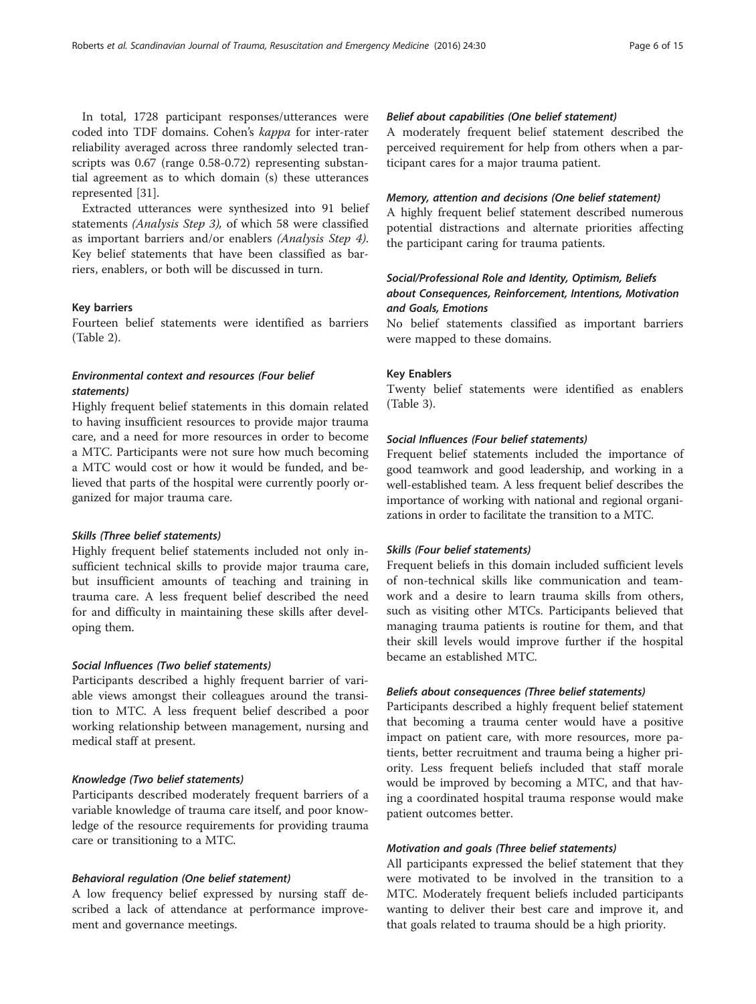In total, 1728 participant responses/utterances were coded into TDF domains. Cohen's kappa for inter-rater reliability averaged across three randomly selected transcripts was 0.67 (range 0.58-0.72) representing substantial agreement as to which domain (s) these utterances represented [[31](#page-14-0)].

Extracted utterances were synthesized into 91 belief statements (Analysis Step 3), of which 58 were classified as important barriers and/or enablers (Analysis Step 4). Key belief statements that have been classified as barriers, enablers, or both will be discussed in turn.

#### Key barriers

Fourteen belief statements were identified as barriers (Table [2\)](#page-6-0).

## Environmental context and resources (Four belief statements)

Highly frequent belief statements in this domain related to having insufficient resources to provide major trauma care, and a need for more resources in order to become a MTC. Participants were not sure how much becoming a MTC would cost or how it would be funded, and believed that parts of the hospital were currently poorly organized for major trauma care.

## Skills (Three belief statements)

Highly frequent belief statements included not only insufficient technical skills to provide major trauma care, but insufficient amounts of teaching and training in trauma care. A less frequent belief described the need for and difficulty in maintaining these skills after developing them.

#### Social Influences (Two belief statements)

Participants described a highly frequent barrier of variable views amongst their colleagues around the transition to MTC. A less frequent belief described a poor working relationship between management, nursing and medical staff at present.

## Knowledge (Two belief statements)

Participants described moderately frequent barriers of a variable knowledge of trauma care itself, and poor knowledge of the resource requirements for providing trauma care or transitioning to a MTC.

#### Behavioral regulation (One belief statement)

A low frequency belief expressed by nursing staff described a lack of attendance at performance improvement and governance meetings.

### Belief about capabilities (One belief statement)

A moderately frequent belief statement described the perceived requirement for help from others when a participant cares for a major trauma patient.

#### Memory, attention and decisions (One belief statement)

A highly frequent belief statement described numerous potential distractions and alternate priorities affecting the participant caring for trauma patients.

## Social/Professional Role and Identity, Optimism, Beliefs about Consequences, Reinforcement, Intentions, Motivation and Goals, Emotions

No belief statements classified as important barriers were mapped to these domains.

#### Key Enablers

Twenty belief statements were identified as enablers (Table [3\)](#page-8-0).

## Social Influences (Four belief statements)

Frequent belief statements included the importance of good teamwork and good leadership, and working in a well-established team. A less frequent belief describes the importance of working with national and regional organizations in order to facilitate the transition to a MTC.

#### Skills (Four belief statements)

Frequent beliefs in this domain included sufficient levels of non-technical skills like communication and teamwork and a desire to learn trauma skills from others, such as visiting other MTCs. Participants believed that managing trauma patients is routine for them, and that their skill levels would improve further if the hospital became an established MTC.

#### Beliefs about consequences (Three belief statements)

Participants described a highly frequent belief statement that becoming a trauma center would have a positive impact on patient care, with more resources, more patients, better recruitment and trauma being a higher priority. Less frequent beliefs included that staff morale would be improved by becoming a MTC, and that having a coordinated hospital trauma response would make patient outcomes better.

#### Motivation and goals (Three belief statements)

All participants expressed the belief statement that they were motivated to be involved in the transition to a MTC. Moderately frequent beliefs included participants wanting to deliver their best care and improve it, and that goals related to trauma should be a high priority.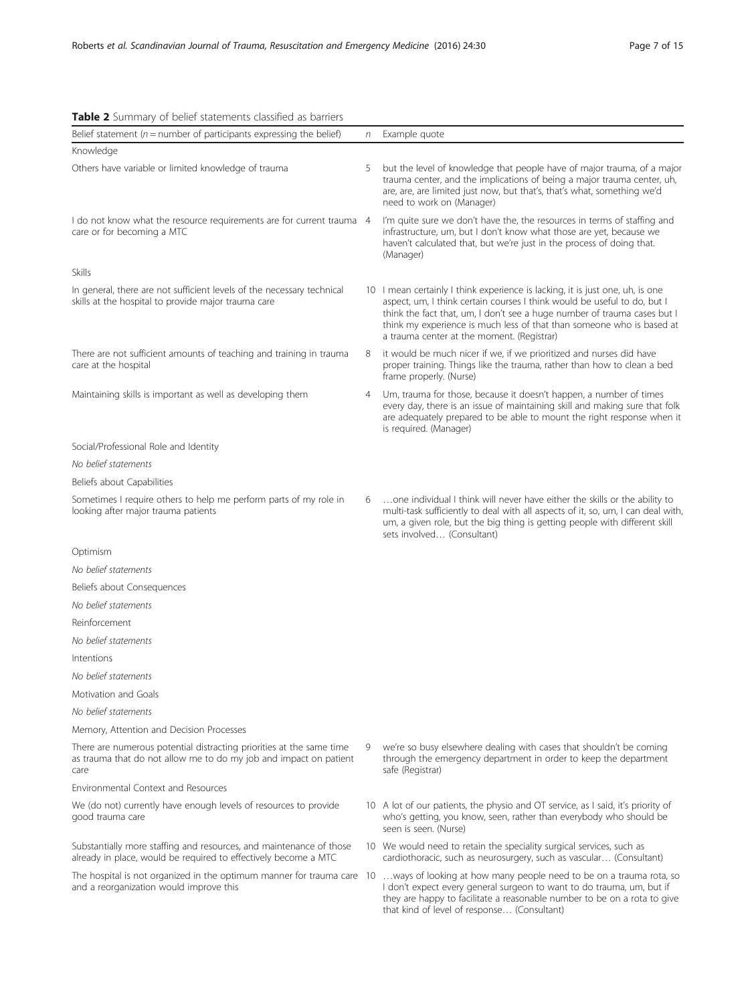# <span id="page-6-0"></span>Table 2 Summany of belief statements classified as barriers

| <b>Fable 2</b> Julianually Of Defier Statements Classified as Darriers                                                                            |   |                                                                                                                                                                                                                                                                                                                                                              |  |  |
|---------------------------------------------------------------------------------------------------------------------------------------------------|---|--------------------------------------------------------------------------------------------------------------------------------------------------------------------------------------------------------------------------------------------------------------------------------------------------------------------------------------------------------------|--|--|
| Belief statement ( $n =$ number of participants expressing the belief)                                                                            | n | Example quote                                                                                                                                                                                                                                                                                                                                                |  |  |
| Knowledge                                                                                                                                         |   |                                                                                                                                                                                                                                                                                                                                                              |  |  |
| Others have variable or limited knowledge of trauma                                                                                               |   | but the level of knowledge that people have of major trauma, of a major<br>trauma center, and the implications of being a major trauma center, uh,<br>are, are, are limited just now, but that's, that's what, something we'd<br>need to work on (Manager)                                                                                                   |  |  |
| I do not know what the resource requirements are for current trauma 4<br>care or for becoming a MTC                                               |   | I'm quite sure we don't have the, the resources in terms of staffing and<br>infrastructure, um, but I don't know what those are yet, because we<br>haven't calculated that, but we're just in the process of doing that.<br>(Manager)                                                                                                                        |  |  |
| <b>Skills</b>                                                                                                                                     |   |                                                                                                                                                                                                                                                                                                                                                              |  |  |
| In general, there are not sufficient levels of the necessary technical<br>skills at the hospital to provide major trauma care                     |   | 10 I mean certainly I think experience is lacking, it is just one, uh, is one<br>aspect, um, I think certain courses I think would be useful to do, but I<br>think the fact that, um, I don't see a huge number of trauma cases but I<br>think my experience is much less of that than someone who is based at<br>a trauma center at the moment. (Registrar) |  |  |
| There are not sufficient amounts of teaching and training in trauma<br>care at the hospital                                                       | 8 | it would be much nicer if we, if we prioritized and nurses did have<br>proper training. Things like the trauma, rather than how to clean a bed<br>frame properly. (Nurse)                                                                                                                                                                                    |  |  |
| Maintaining skills is important as well as developing them                                                                                        | 4 | Um, trauma for those, because it doesn't happen, a number of times<br>every day, there is an issue of maintaining skill and making sure that folk<br>are adequately prepared to be able to mount the right response when it<br>is required. (Manager)                                                                                                        |  |  |
| Social/Professional Role and Identity                                                                                                             |   |                                                                                                                                                                                                                                                                                                                                                              |  |  |
| No belief statements                                                                                                                              |   |                                                                                                                                                                                                                                                                                                                                                              |  |  |
| Beliefs about Capabilities                                                                                                                        |   |                                                                                                                                                                                                                                                                                                                                                              |  |  |
| Sometimes I require others to help me perform parts of my role in<br>looking after major trauma patients                                          | 6 | one individual I think will never have either the skills or the ability to<br>multi-task sufficiently to deal with all aspects of it, so, um, I can deal with,<br>um, a given role, but the big thing is getting people with different skill<br>sets involved (Consultant)                                                                                   |  |  |
| Optimism                                                                                                                                          |   |                                                                                                                                                                                                                                                                                                                                                              |  |  |
| No belief statements                                                                                                                              |   |                                                                                                                                                                                                                                                                                                                                                              |  |  |
| Beliefs about Consequences                                                                                                                        |   |                                                                                                                                                                                                                                                                                                                                                              |  |  |
| No belief statements                                                                                                                              |   |                                                                                                                                                                                                                                                                                                                                                              |  |  |
| Reinforcement                                                                                                                                     |   |                                                                                                                                                                                                                                                                                                                                                              |  |  |
| No belief statements                                                                                                                              |   |                                                                                                                                                                                                                                                                                                                                                              |  |  |
| Intentions                                                                                                                                        |   |                                                                                                                                                                                                                                                                                                                                                              |  |  |
| No belief statements                                                                                                                              |   |                                                                                                                                                                                                                                                                                                                                                              |  |  |
| Motivation and Goals                                                                                                                              |   |                                                                                                                                                                                                                                                                                                                                                              |  |  |
| No belief statements                                                                                                                              |   |                                                                                                                                                                                                                                                                                                                                                              |  |  |
| Memory, Attention and Decision Processes                                                                                                          |   |                                                                                                                                                                                                                                                                                                                                                              |  |  |
| There are numerous potential distracting priorities at the same time<br>as trauma that do not allow me to do my job and impact on patient<br>care | 9 | we're so busy elsewhere dealing with cases that shouldn't be coming<br>through the emergency department in order to keep the department<br>safe (Registrar)                                                                                                                                                                                                  |  |  |
| Environmental Context and Resources                                                                                                               |   |                                                                                                                                                                                                                                                                                                                                                              |  |  |
| We (do not) currently have enough levels of resources to provide<br>good trauma care                                                              |   | 10 A lot of our patients, the physio and OT service, as I said, it's priority of<br>who's getting, you know, seen, rather than everybody who should be<br>seen is seen. (Nurse)                                                                                                                                                                              |  |  |
| Substantially more staffing and resources, and maintenance of those<br>already in place, would be required to effectively become a MTC            |   | 10 We would need to retain the speciality surgical services, such as<br>cardiothoracic, such as neurosurgery, such as vascular (Consultant)                                                                                                                                                                                                                  |  |  |
| The hospital is not organized in the optimum manner for trauma care 10<br>and a reorganization would improve this                                 |   | ways of looking at how many people need to be on a trauma rota, so<br>I don't expect every general surgeon to want to do trauma, um, but if<br>they are happy to facilitate a reasonable number to be on a rota to give<br>that kind of level of response (Consultant)                                                                                       |  |  |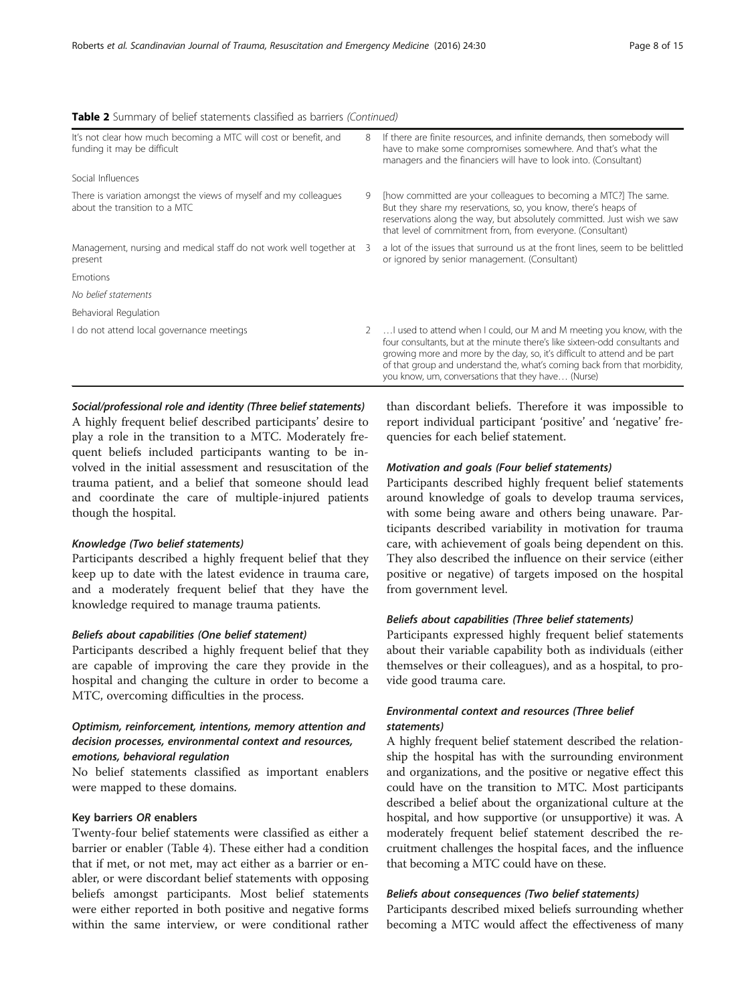| It's not clear how much becoming a MTC will cost or benefit, and<br>funding it may be difficult    |   | If there are finite resources, and infinite demands, then somebody will<br>have to make some compromises somewhere. And that's what the<br>managers and the financiers will have to look into. (Consultant)                                                                                                                                                            |
|----------------------------------------------------------------------------------------------------|---|------------------------------------------------------------------------------------------------------------------------------------------------------------------------------------------------------------------------------------------------------------------------------------------------------------------------------------------------------------------------|
| Social Influences                                                                                  |   |                                                                                                                                                                                                                                                                                                                                                                        |
| There is variation amongst the views of myself and my colleagues<br>about the transition to a MTC. |   | [how committed are your colleagues to becoming a MTC?] The same.<br>But they share my reservations, so, you know, there's heaps of<br>reservations along the way, but absolutely committed. Just wish we saw<br>that level of commitment from, from everyone. (Consultant)                                                                                             |
| Management, nursing and medical staff do not work well together at 3<br>present                    |   | a lot of the issues that surround us at the front lines, seem to be belittled<br>or ignored by senior management. (Consultant)                                                                                                                                                                                                                                         |
| <b>Emotions</b>                                                                                    |   |                                                                                                                                                                                                                                                                                                                                                                        |
| No belief statements                                                                               |   |                                                                                                                                                                                                                                                                                                                                                                        |
| Behavioral Regulation                                                                              |   |                                                                                                                                                                                                                                                                                                                                                                        |
| I do not attend local governance meetings                                                          | 2 | I used to attend when I could, our M and M meeting you know, with the<br>four consultants, but at the minute there's like sixteen-odd consultants and<br>growing more and more by the day, so, it's difficult to attend and be part<br>of that group and understand the, what's coming back from that morbidity,<br>you know, um, conversations that they have (Nurse) |

#### Social/professional role and identity (Three belief statements)

A highly frequent belief described participants' desire to play a role in the transition to a MTC. Moderately frequent beliefs included participants wanting to be involved in the initial assessment and resuscitation of the trauma patient, and a belief that someone should lead and coordinate the care of multiple-injured patients though the hospital.

#### Knowledge (Two belief statements)

Participants described a highly frequent belief that they keep up to date with the latest evidence in trauma care, and a moderately frequent belief that they have the knowledge required to manage trauma patients.

#### Beliefs about capabilities (One belief statement)

Participants described a highly frequent belief that they are capable of improving the care they provide in the hospital and changing the culture in order to become a MTC, overcoming difficulties in the process.

# Optimism, reinforcement, intentions, memory attention and decision processes, environmental context and resources,

#### emotions, behavioral regulation

No belief statements classified as important enablers were mapped to these domains.

#### Key barriers OR enablers

Twenty-four belief statements were classified as either a barrier or enabler (Table [4\)](#page-10-0). These either had a condition that if met, or not met, may act either as a barrier or enabler, or were discordant belief statements with opposing beliefs amongst participants. Most belief statements were either reported in both positive and negative forms within the same interview, or were conditional rather than discordant beliefs. Therefore it was impossible to report individual participant 'positive' and 'negative' frequencies for each belief statement.

#### Motivation and goals (Four belief statements)

Participants described highly frequent belief statements around knowledge of goals to develop trauma services, with some being aware and others being unaware. Participants described variability in motivation for trauma care, with achievement of goals being dependent on this. They also described the influence on their service (either positive or negative) of targets imposed on the hospital from government level.

#### Beliefs about capabilities (Three belief statements)

Participants expressed highly frequent belief statements about their variable capability both as individuals (either themselves or their colleagues), and as a hospital, to provide good trauma care.

## Environmental context and resources (Three belief statements)

A highly frequent belief statement described the relationship the hospital has with the surrounding environment and organizations, and the positive or negative effect this could have on the transition to MTC. Most participants described a belief about the organizational culture at the hospital, and how supportive (or unsupportive) it was. A moderately frequent belief statement described the recruitment challenges the hospital faces, and the influence that becoming a MTC could have on these.

### Beliefs about consequences (Two belief statements)

Participants described mixed beliefs surrounding whether becoming a MTC would affect the effectiveness of many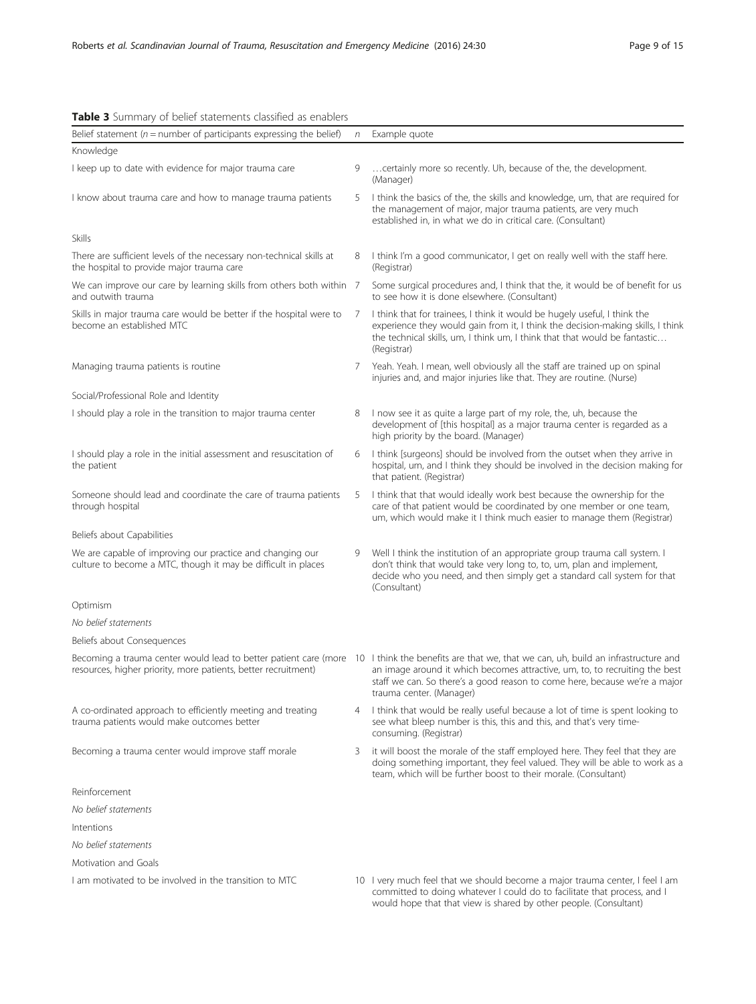## <span id="page-8-0"></span>Table 3 Summary of belief statements classified as enablers

| or pener statements elassined as enabl                                                                                     |        |                                                                                                                                                                                                                                                                                                                                             |  |
|----------------------------------------------------------------------------------------------------------------------------|--------|---------------------------------------------------------------------------------------------------------------------------------------------------------------------------------------------------------------------------------------------------------------------------------------------------------------------------------------------|--|
| Belief statement ( $n =$ number of participants expressing the belief)                                                     | $\eta$ | Example quote                                                                                                                                                                                                                                                                                                                               |  |
| Knowledge                                                                                                                  |        |                                                                                                                                                                                                                                                                                                                                             |  |
| I keep up to date with evidence for major trauma care                                                                      | 9      | certainly more so recently. Uh, because of the, the development.<br>(Manager)                                                                                                                                                                                                                                                               |  |
| I know about trauma care and how to manage trauma patients                                                                 |        | I think the basics of the, the skills and knowledge, um, that are required for<br>the management of major, major trauma patients, are very much<br>established in, in what we do in critical care. (Consultant)                                                                                                                             |  |
| <b>Skills</b>                                                                                                              |        |                                                                                                                                                                                                                                                                                                                                             |  |
| There are sufficient levels of the necessary non-technical skills at<br>the hospital to provide major trauma care          | 8      | I think I'm a good communicator, I get on really well with the staff here.<br>(Registrar)                                                                                                                                                                                                                                                   |  |
| We can improve our care by learning skills from others both within 7<br>and outwith trauma                                 |        | Some surgical procedures and, I think that the, it would be of benefit for us<br>to see how it is done elsewhere. (Consultant)                                                                                                                                                                                                              |  |
| Skills in major trauma care would be better if the hospital were to<br>become an established MTC                           | 7      | I think that for trainees, I think it would be hugely useful, I think the<br>experience they would gain from it, I think the decision-making skills, I think<br>the technical skills, um, I think um, I think that that would be fantastic<br>(Registrar)                                                                                   |  |
| Managing trauma patients is routine                                                                                        | 7      | Yeah. Yeah. I mean, well obviously all the staff are trained up on spinal<br>injuries and, and major injuries like that. They are routine. (Nurse)                                                                                                                                                                                          |  |
| Social/Professional Role and Identity                                                                                      |        |                                                                                                                                                                                                                                                                                                                                             |  |
| I should play a role in the transition to major trauma center                                                              | 8      | I now see it as quite a large part of my role, the, uh, because the<br>development of [this hospital] as a major trauma center is regarded as a<br>high priority by the board. (Manager)                                                                                                                                                    |  |
| I should play a role in the initial assessment and resuscitation of<br>the patient                                         | 6      | I think [surgeons] should be involved from the outset when they arrive in<br>hospital, um, and I think they should be involved in the decision making for<br>that patient. (Registrar)                                                                                                                                                      |  |
| Someone should lead and coordinate the care of trauma patients<br>through hospital                                         | 5      | I think that that would ideally work best because the ownership for the<br>care of that patient would be coordinated by one member or one team,<br>um, which would make it I think much easier to manage them (Registrar)                                                                                                                   |  |
| Beliefs about Capabilities                                                                                                 |        |                                                                                                                                                                                                                                                                                                                                             |  |
| We are capable of improving our practice and changing our<br>culture to become a MTC, though it may be difficult in places | 9      | Well I think the institution of an appropriate group trauma call system. I<br>don't think that would take very long to, to, um, plan and implement,<br>decide who you need, and then simply get a standard call system for that<br>(Consultant)                                                                                             |  |
| Optimism                                                                                                                   |        |                                                                                                                                                                                                                                                                                                                                             |  |
| No belief statements                                                                                                       |        |                                                                                                                                                                                                                                                                                                                                             |  |
| Beliefs about Consequences                                                                                                 |        |                                                                                                                                                                                                                                                                                                                                             |  |
| resources, higher priority, more patients, better recruitment)                                                             |        | Becoming a trauma center would lead to better patient care (more 10 I think the benefits are that we, that we can, uh, build an infrastructure and<br>an image around it which becomes attractive, um, to, to recruiting the best<br>staff we can. So there's a good reason to come here, because we're a major<br>trauma center. (Manager) |  |
| A co-ordinated approach to efficiently meeting and treating<br>trauma patients would make outcomes better                  | 4      | I think that would be really useful because a lot of time is spent looking to<br>see what bleep number is this, this and this, and that's very time-<br>consuming. (Registrar)                                                                                                                                                              |  |
| Becoming a trauma center would improve staff morale                                                                        | 3      | it will boost the morale of the staff employed here. They feel that they are<br>doing something important, they feel valued. They will be able to work as a<br>team, which will be further boost to their morale. (Consultant)                                                                                                              |  |
| Reinforcement                                                                                                              |        |                                                                                                                                                                                                                                                                                                                                             |  |
| No belief statements                                                                                                       |        |                                                                                                                                                                                                                                                                                                                                             |  |
| Intentions                                                                                                                 |        |                                                                                                                                                                                                                                                                                                                                             |  |
| No belief statements                                                                                                       |        |                                                                                                                                                                                                                                                                                                                                             |  |
| Motivation and Goals                                                                                                       |        |                                                                                                                                                                                                                                                                                                                                             |  |
| I am motivated to be involved in the transition to MTC                                                                     |        | 10 I very much feel that we should become a major trauma center, I feel I am<br>committed to doing whatever I could do to facilitate that process, and I<br>would hope that that view is shared by other people. (Consultant)                                                                                                               |  |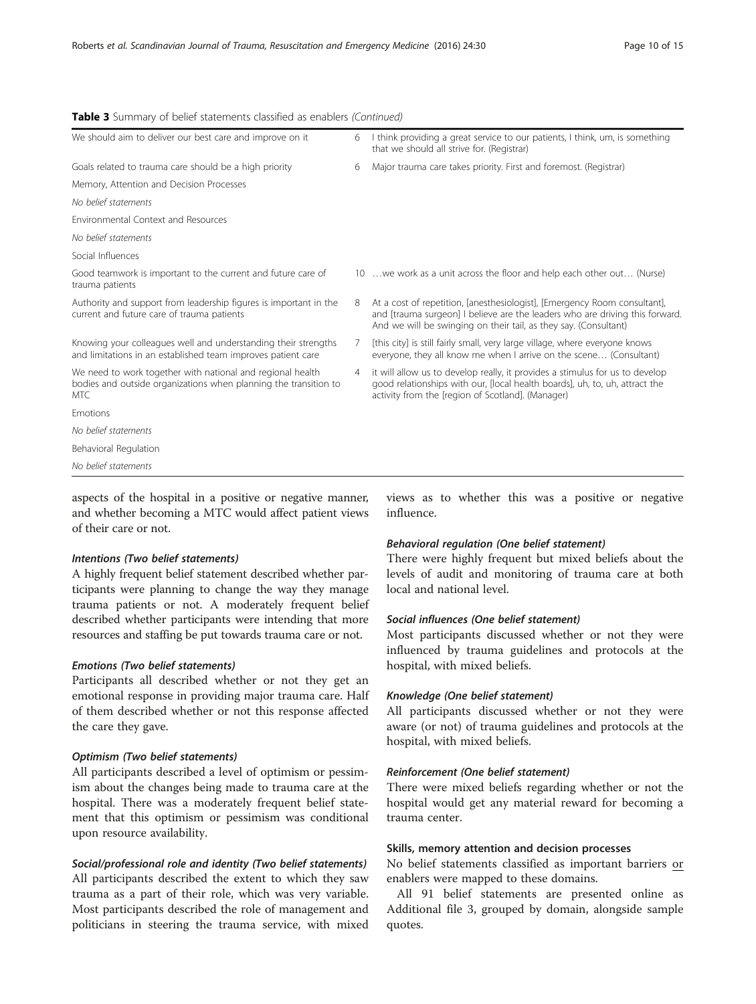|  |  | Table 3 Summary of belief statements classified as enablers (Continued) |  |  |  |
|--|--|-------------------------------------------------------------------------|--|--|--|
|  |  |                                                                         |  |  |  |

| We should aim to deliver our best care and improve on it                                                                                     | 6              | I think providing a great service to our patients, I think, um, is something                                                                                                                                                  |
|----------------------------------------------------------------------------------------------------------------------------------------------|----------------|-------------------------------------------------------------------------------------------------------------------------------------------------------------------------------------------------------------------------------|
|                                                                                                                                              |                | that we should all strive for. (Registrar)                                                                                                                                                                                    |
| Goals related to trauma care should be a high priority                                                                                       |                | Major trauma care takes priority. First and foremost. (Registrar)                                                                                                                                                             |
| Memory, Attention and Decision Processes                                                                                                     |                |                                                                                                                                                                                                                               |
| No belief statements                                                                                                                         |                |                                                                                                                                                                                                                               |
| Environmental Context and Resources                                                                                                          |                |                                                                                                                                                                                                                               |
| No belief statements                                                                                                                         |                |                                                                                                                                                                                                                               |
| Social Influences                                                                                                                            |                |                                                                                                                                                                                                                               |
| Good teamwork is important to the current and future care of<br>trauma patients                                                              |                | 10  we work as a unit across the floor and help each other out (Nurse)                                                                                                                                                        |
| Authority and support from leadership figures is important in the<br>current and future care of trauma patients                              | 8              | At a cost of repetition, [anesthesiologist], [Emergency Room consultant],<br>and [trauma surgeon] I believe are the leaders who are driving this forward.<br>And we will be swinging on their tail, as they say. (Consultant) |
| Knowing your colleagues well and understanding their strengths<br>and limitations in an established team improves patient care               | $\prime$       | [this city] is still fairly small, very large village, where everyone knows<br>everyone, they all know me when I arrive on the scene (Consultant)                                                                             |
| We need to work together with national and regional health<br>bodies and outside organizations when planning the transition to<br><b>MTC</b> | $\overline{4}$ | it will allow us to develop really, it provides a stimulus for us to develop<br>good relationships with our, [local health boards], uh, to, uh, attract the<br>activity from the [region of Scotland]. (Manager)              |
| <b>Emotions</b>                                                                                                                              |                |                                                                                                                                                                                                                               |
| No belief statements                                                                                                                         |                |                                                                                                                                                                                                                               |
| Behavioral Regulation                                                                                                                        |                |                                                                                                                                                                                                                               |
| No belief statements                                                                                                                         |                |                                                                                                                                                                                                                               |

aspects of the hospital in a positive or negative manner, and whether becoming a MTC would affect patient views of their care or not.

#### Intentions (Two belief statements)

A highly frequent belief statement described whether participants were planning to change the way they manage trauma patients or not. A moderately frequent belief described whether participants were intending that more resources and staffing be put towards trauma care or not.

### Emotions (Two belief statements)

Participants all described whether or not they get an emotional response in providing major trauma care. Half of them described whether or not this response affected the care they gave.

#### Optimism (Two belief statements)

All participants described a level of optimism or pessimism about the changes being made to trauma care at the hospital. There was a moderately frequent belief statement that this optimism or pessimism was conditional upon resource availability.

## Social/professional role and identity (Two belief statements)

All participants described the extent to which they saw trauma as a part of their role, which was very variable. Most participants described the role of management and politicians in steering the trauma service, with mixed views as to whether this was a positive or negative influence.

### Behavioral regulation (One belief statement)

There were highly frequent but mixed beliefs about the levels of audit and monitoring of trauma care at both local and national level.

## Social influences (One belief statement)

Most participants discussed whether or not they were influenced by trauma guidelines and protocols at the hospital, with mixed beliefs.

#### Knowledge (One belief statement)

All participants discussed whether or not they were aware (or not) of trauma guidelines and protocols at the hospital, with mixed beliefs.

### Reinforcement (One belief statement)

There were mixed beliefs regarding whether or not the hospital would get any material reward for becoming a trauma center.

#### Skills, memory attention and decision processes

No belief statements classified as important barriers or enablers were mapped to these domains.

All 91 belief statements are presented online as Additional file [3](#page-13-0), grouped by domain, alongside sample quotes.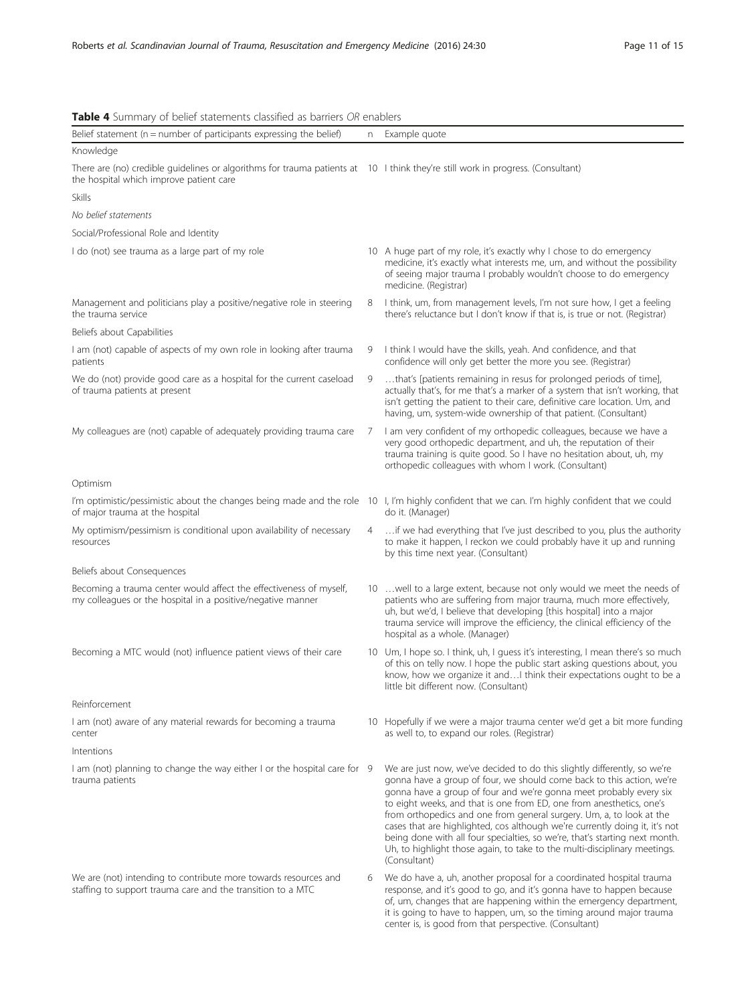<span id="page-10-0"></span>Table 4 Summary of belief statements classified as barriers OR enablers

| <b>Fable +</b> Jammary or benefictationed erabined as banners on chapters                                                                                                  |                |                                                                                                                                                                                                                                                                                                                                                                                                                                                                                                                                                                                                                                    |
|----------------------------------------------------------------------------------------------------------------------------------------------------------------------------|----------------|------------------------------------------------------------------------------------------------------------------------------------------------------------------------------------------------------------------------------------------------------------------------------------------------------------------------------------------------------------------------------------------------------------------------------------------------------------------------------------------------------------------------------------------------------------------------------------------------------------------------------------|
| Belief statement ( $n =$ number of participants expressing the belief)                                                                                                     |                | n Example quote                                                                                                                                                                                                                                                                                                                                                                                                                                                                                                                                                                                                                    |
| Knowledge                                                                                                                                                                  |                |                                                                                                                                                                                                                                                                                                                                                                                                                                                                                                                                                                                                                                    |
| There are (no) credible quidelines or algorithms for trauma patients at 10 I think they're still work in progress. (Consultant)<br>the hospital which improve patient care |                |                                                                                                                                                                                                                                                                                                                                                                                                                                                                                                                                                                                                                                    |
| <b>Skills</b>                                                                                                                                                              |                |                                                                                                                                                                                                                                                                                                                                                                                                                                                                                                                                                                                                                                    |
| No belief statements                                                                                                                                                       |                |                                                                                                                                                                                                                                                                                                                                                                                                                                                                                                                                                                                                                                    |
| Social/Professional Role and Identity                                                                                                                                      |                |                                                                                                                                                                                                                                                                                                                                                                                                                                                                                                                                                                                                                                    |
| I do (not) see trauma as a large part of my role                                                                                                                           |                | 10 A huge part of my role, it's exactly why I chose to do emergency<br>medicine, it's exactly what interests me, um, and without the possibility<br>of seeing major trauma I probably wouldn't choose to do emergency<br>medicine. (Registrar)                                                                                                                                                                                                                                                                                                                                                                                     |
| Management and politicians play a positive/negative role in steering<br>the trauma service                                                                                 | 8              | I think, um, from management levels, I'm not sure how, I get a feeling<br>there's reluctance but I don't know if that is, is true or not. (Registrar)                                                                                                                                                                                                                                                                                                                                                                                                                                                                              |
| Beliefs about Capabilities                                                                                                                                                 |                |                                                                                                                                                                                                                                                                                                                                                                                                                                                                                                                                                                                                                                    |
| I am (not) capable of aspects of my own role in looking after trauma<br>patients                                                                                           | 9              | I think I would have the skills, yeah. And confidence, and that<br>confidence will only get better the more you see. (Registrar)                                                                                                                                                                                                                                                                                                                                                                                                                                                                                                   |
| We do (not) provide good care as a hospital for the current caseload<br>of trauma patients at present                                                                      | 9              | that's [patients remaining in resus for prolonged periods of time],<br>actually that's, for me that's a marker of a system that isn't working, that<br>isn't getting the patient to their care, definitive care location. Um, and<br>having, um, system-wide ownership of that patient. (Consultant)                                                                                                                                                                                                                                                                                                                               |
| My colleagues are (not) capable of adequately providing trauma care                                                                                                        | 7              | I am very confident of my orthopedic colleagues, because we have a<br>very good orthopedic department, and uh, the reputation of their<br>trauma training is quite good. So I have no hesitation about, uh, my<br>orthopedic colleagues with whom I work. (Consultant)                                                                                                                                                                                                                                                                                                                                                             |
| Optimism                                                                                                                                                                   |                |                                                                                                                                                                                                                                                                                                                                                                                                                                                                                                                                                                                                                                    |
| of major trauma at the hospital                                                                                                                                            |                | I'm optimistic/pessimistic about the changes being made and the role 10 I, I'm highly confident that we can. I'm highly confident that we could<br>do it. (Manager)                                                                                                                                                                                                                                                                                                                                                                                                                                                                |
| My optimism/pessimism is conditional upon availability of necessary<br>resources                                                                                           | $\overline{4}$ | if we had everything that I've just described to you, plus the authority<br>to make it happen, I reckon we could probably have it up and running<br>by this time next year. (Consultant)                                                                                                                                                                                                                                                                                                                                                                                                                                           |
| Beliefs about Consequences                                                                                                                                                 |                |                                                                                                                                                                                                                                                                                                                                                                                                                                                                                                                                                                                                                                    |
| Becoming a trauma center would affect the effectiveness of myself,<br>my colleagues or the hospital in a positive/negative manner                                          |                | 10  well to a large extent, because not only would we meet the needs of<br>patients who are suffering from major trauma, much more effectively,<br>uh, but we'd, I believe that developing [this hospital] into a major<br>trauma service will improve the efficiency, the clinical efficiency of the<br>hospital as a whole. (Manager)                                                                                                                                                                                                                                                                                            |
| Becoming a MTC would (not) influence patient views of their care                                                                                                           |                | 10 Um, I hope so. I think, uh, I quess it's interesting, I mean there's so much<br>of this on telly now. I hope the public start asking questions about, you<br>know, how we organize it and I think their expectations ought to be a<br>little bit different now. (Consultant)                                                                                                                                                                                                                                                                                                                                                    |
| Reinforcement                                                                                                                                                              |                |                                                                                                                                                                                                                                                                                                                                                                                                                                                                                                                                                                                                                                    |
| I am (not) aware of any material rewards for becoming a trauma<br>center                                                                                                   |                | 10 Hopefully if we were a major trauma center we'd get a bit more funding<br>as well to, to expand our roles. (Registrar)                                                                                                                                                                                                                                                                                                                                                                                                                                                                                                          |
| Intentions                                                                                                                                                                 |                |                                                                                                                                                                                                                                                                                                                                                                                                                                                                                                                                                                                                                                    |
| I am (not) planning to change the way either I or the hospital care for 9<br>trauma patients                                                                               |                | We are just now, we've decided to do this slightly differently, so we're<br>gonna have a group of four, we should come back to this action, we're<br>gonna have a group of four and we're gonna meet probably every six<br>to eight weeks, and that is one from ED, one from anesthetics, one's<br>from orthopedics and one from general surgery. Um, a, to look at the<br>cases that are highlighted, cos although we're currently doing it, it's not<br>being done with all four specialties, so we're, that's starting next month.<br>Uh, to highlight those again, to take to the multi-disciplinary meetings.<br>(Consultant) |
| We are (not) intending to contribute more towards resources and<br>staffing to support trauma care and the transition to a MTC                                             | 6              | We do have a, uh, another proposal for a coordinated hospital trauma<br>response, and it's good to go, and it's gonna have to happen because<br>of, um, changes that are happening within the emergency department,<br>it is going to have to happen, um, so the timing around major trauma                                                                                                                                                                                                                                                                                                                                        |

center is, is good from that perspective. (Consultant)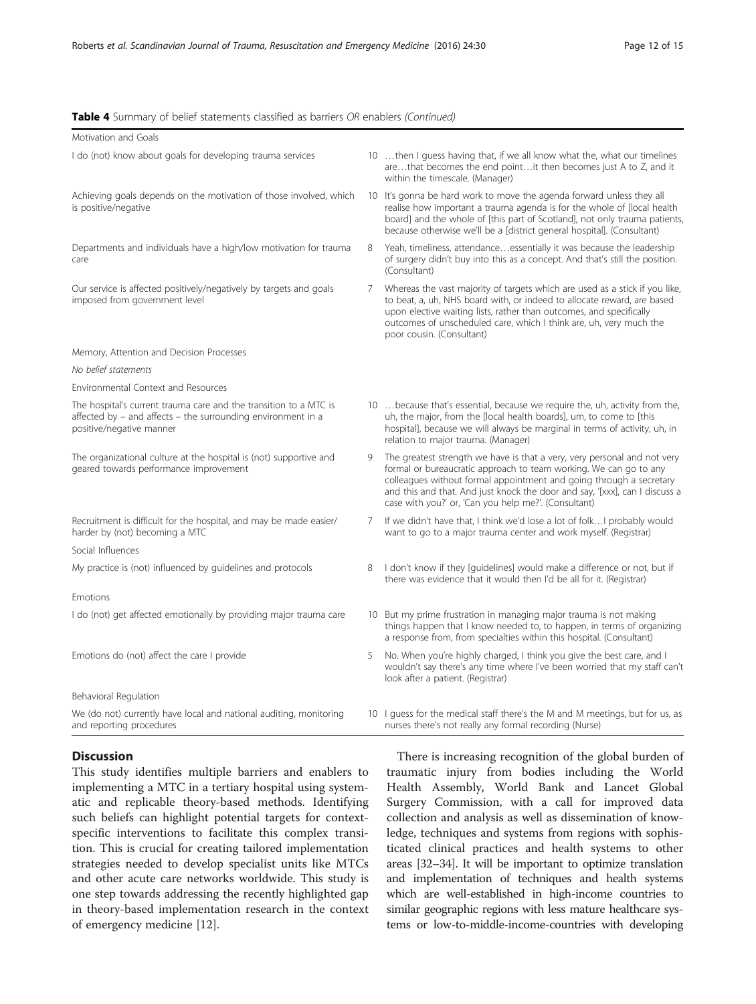## Table 4 Summary of belief statements classified as barriers OR enablers (Continued)

| Motivation and Goals                                                                                                                                          |   |                                                                                                                                                                                                                                                                                                                                                             |
|---------------------------------------------------------------------------------------------------------------------------------------------------------------|---|-------------------------------------------------------------------------------------------------------------------------------------------------------------------------------------------------------------------------------------------------------------------------------------------------------------------------------------------------------------|
| I do (not) know about goals for developing trauma services                                                                                                    |   | 10 then I guess having that, if we all know what the, what our timelines<br>arethat becomes the end pointit then becomes just A to Z, and it<br>within the timescale. (Manager)                                                                                                                                                                             |
| Achieving goals depends on the motivation of those involved, which<br>is positive/negative                                                                    |   | 10 It's gonna be hard work to move the agenda forward unless they all<br>realise how important a trauma agenda is for the whole of [local health<br>board] and the whole of [this part of Scotland], not only trauma patients,<br>because otherwise we'll be a [district general hospital]. (Consultant)                                                    |
| Departments and individuals have a high/low motivation for trauma<br>care                                                                                     |   | Yeah, timeliness, attendanceessentially it was because the leadership<br>of surgery didn't buy into this as a concept. And that's still the position.<br>(Consultant)                                                                                                                                                                                       |
| Our service is affected positively/negatively by targets and goals<br>imposed from government level                                                           | 7 | Whereas the vast majority of targets which are used as a stick if you like,<br>to beat, a, uh, NHS board with, or indeed to allocate reward, are based<br>upon elective waiting lists, rather than outcomes, and specifically<br>outcomes of unscheduled care, which I think are, uh, very much the<br>poor cousin. (Consultant)                            |
| Memory, Attention and Decision Processes                                                                                                                      |   |                                                                                                                                                                                                                                                                                                                                                             |
| No belief statements                                                                                                                                          |   |                                                                                                                                                                                                                                                                                                                                                             |
| <b>Environmental Context and Resources</b>                                                                                                                    |   |                                                                                                                                                                                                                                                                                                                                                             |
| The hospital's current trauma care and the transition to a MTC is<br>affected by - and affects - the surrounding environment in a<br>positive/negative manner |   | 10  because that's essential, because we require the, uh, activity from the,<br>uh, the major, from the [local health boards], um, to come to [this<br>hospital], because we will always be marginal in terms of activity, uh, in<br>relation to major trauma. (Manager)                                                                                    |
| The organizational culture at the hospital is (not) supportive and<br>geared towards performance improvement                                                  | 9 | The greatest strength we have is that a very, very personal and not very<br>formal or bureaucratic approach to team working. We can go to any<br>colleagues without formal appointment and going through a secretary<br>and this and that. And just knock the door and say, '[xxx], can I discuss a<br>case with you?' or, 'Can you help me?'. (Consultant) |
| Recruitment is difficult for the hospital, and may be made easier/<br>harder by (not) becoming a MTC                                                          | 7 | If we didn't have that, I think we'd lose a lot of folk I probably would<br>want to go to a major trauma center and work myself. (Registrar)                                                                                                                                                                                                                |
| Social Influences                                                                                                                                             |   |                                                                                                                                                                                                                                                                                                                                                             |
| My practice is (not) influenced by guidelines and protocols                                                                                                   | 8 | I don't know if they [guidelines] would make a difference or not, but if<br>there was evidence that it would then I'd be all for it. (Registrar)                                                                                                                                                                                                            |
| Emotions                                                                                                                                                      |   |                                                                                                                                                                                                                                                                                                                                                             |
| I do (not) get affected emotionally by providing major trauma care                                                                                            |   | 10 But my prime frustration in managing major trauma is not making<br>things happen that I know needed to, to happen, in terms of organizing<br>a response from, from specialties within this hospital. (Consultant)                                                                                                                                        |
| Emotions do (not) affect the care I provide                                                                                                                   | 5 | No. When you're highly charged, I think you give the best care, and I<br>wouldn't say there's any time where I've been worried that my staff can't<br>look after a patient. (Registrar)                                                                                                                                                                     |
| Behavioral Regulation                                                                                                                                         |   |                                                                                                                                                                                                                                                                                                                                                             |
| We (do not) currently have local and national auditing, monitoring<br>and reporting procedures                                                                |   | 10 I guess for the medical staff there's the M and M meetings, but for us, as<br>nurses there's not really any formal recording (Nurse)                                                                                                                                                                                                                     |

## **Discussion**

This study identifies multiple barriers and enablers to implementing a MTC in a tertiary hospital using systematic and replicable theory-based methods. Identifying such beliefs can highlight potential targets for contextspecific interventions to facilitate this complex transition. This is crucial for creating tailored implementation strategies needed to develop specialist units like MTCs and other acute care networks worldwide. This study is one step towards addressing the recently highlighted gap in theory-based implementation research in the context of emergency medicine [[12\]](#page-14-0).

There is increasing recognition of the global burden of traumatic injury from bodies including the World Health Assembly, World Bank and Lancet Global Surgery Commission, with a call for improved data collection and analysis as well as dissemination of knowledge, techniques and systems from regions with sophisticated clinical practices and health systems to other areas [\[32](#page-14-0)–[34\]](#page-14-0). It will be important to optimize translation and implementation of techniques and health systems which are well-established in high-income countries to similar geographic regions with less mature healthcare systems or low-to-middle-income-countries with developing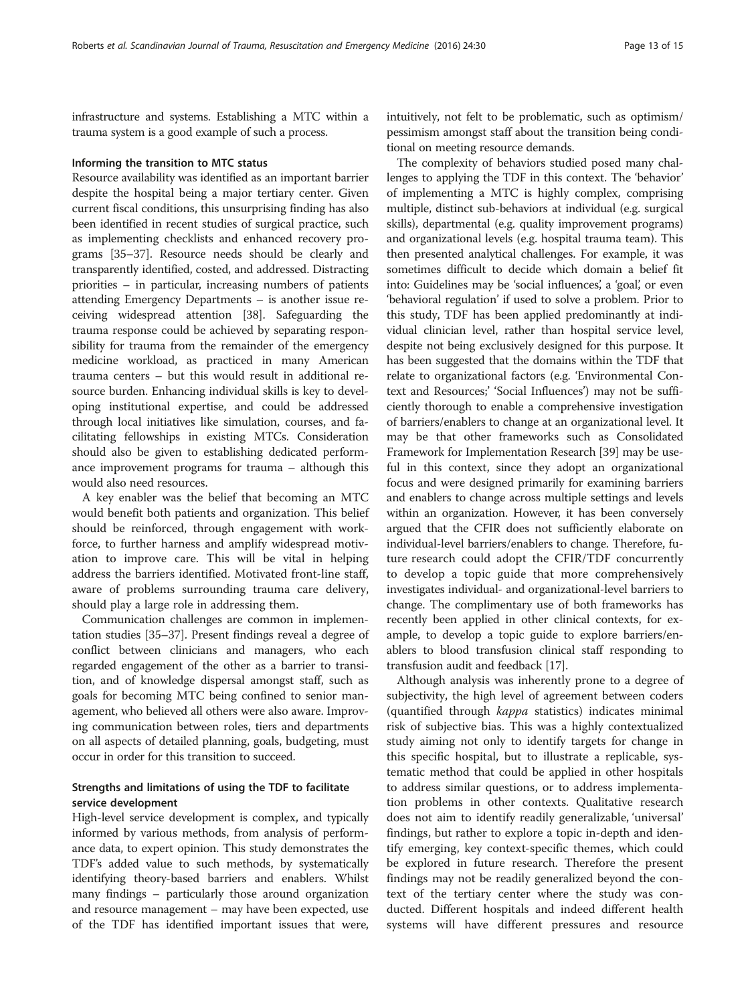infrastructure and systems. Establishing a MTC within a trauma system is a good example of such a process.

#### Informing the transition to MTC status

Resource availability was identified as an important barrier despite the hospital being a major tertiary center. Given current fiscal conditions, this unsurprising finding has also been identified in recent studies of surgical practice, such as implementing checklists and enhanced recovery programs [[35](#page-14-0)–[37\]](#page-14-0). Resource needs should be clearly and transparently identified, costed, and addressed. Distracting priorities – in particular, increasing numbers of patients attending Emergency Departments – is another issue receiving widespread attention [\[38\]](#page-14-0). Safeguarding the trauma response could be achieved by separating responsibility for trauma from the remainder of the emergency medicine workload, as practiced in many American trauma centers – but this would result in additional resource burden. Enhancing individual skills is key to developing institutional expertise, and could be addressed through local initiatives like simulation, courses, and facilitating fellowships in existing MTCs. Consideration should also be given to establishing dedicated performance improvement programs for trauma – although this would also need resources.

A key enabler was the belief that becoming an MTC would benefit both patients and organization. This belief should be reinforced, through engagement with workforce, to further harness and amplify widespread motivation to improve care. This will be vital in helping address the barriers identified. Motivated front-line staff, aware of problems surrounding trauma care delivery, should play a large role in addressing them.

Communication challenges are common in implementation studies [\[35](#page-14-0)–[37](#page-14-0)]. Present findings reveal a degree of conflict between clinicians and managers, who each regarded engagement of the other as a barrier to transition, and of knowledge dispersal amongst staff, such as goals for becoming MTC being confined to senior management, who believed all others were also aware. Improving communication between roles, tiers and departments on all aspects of detailed planning, goals, budgeting, must occur in order for this transition to succeed.

## Strengths and limitations of using the TDF to facilitate service development

High-level service development is complex, and typically informed by various methods, from analysis of performance data, to expert opinion. This study demonstrates the TDF's added value to such methods, by systematically identifying theory-based barriers and enablers. Whilst many findings – particularly those around organization and resource management – may have been expected, use of the TDF has identified important issues that were, intuitively, not felt to be problematic, such as optimism/ pessimism amongst staff about the transition being conditional on meeting resource demands.

The complexity of behaviors studied posed many challenges to applying the TDF in this context. The 'behavior' of implementing a MTC is highly complex, comprising multiple, distinct sub-behaviors at individual (e.g. surgical skills), departmental (e.g. quality improvement programs) and organizational levels (e.g. hospital trauma team). This then presented analytical challenges. For example, it was sometimes difficult to decide which domain a belief fit into: Guidelines may be 'social influences', a 'goal', or even 'behavioral regulation' if used to solve a problem. Prior to this study, TDF has been applied predominantly at individual clinician level, rather than hospital service level, despite not being exclusively designed for this purpose. It has been suggested that the domains within the TDF that relate to organizational factors (e.g. 'Environmental Context and Resources;' 'Social Influences') may not be sufficiently thorough to enable a comprehensive investigation of barriers/enablers to change at an organizational level. It may be that other frameworks such as Consolidated Framework for Implementation Research [\[39\]](#page-14-0) may be useful in this context, since they adopt an organizational focus and were designed primarily for examining barriers and enablers to change across multiple settings and levels within an organization. However, it has been conversely argued that the CFIR does not sufficiently elaborate on individual-level barriers/enablers to change. Therefore, future research could adopt the CFIR/TDF concurrently to develop a topic guide that more comprehensively investigates individual- and organizational-level barriers to change. The complimentary use of both frameworks has recently been applied in other clinical contexts, for example, to develop a topic guide to explore barriers/enablers to blood transfusion clinical staff responding to transfusion audit and feedback [[17](#page-14-0)].

Although analysis was inherently prone to a degree of subjectivity, the high level of agreement between coders (quantified through kappa statistics) indicates minimal risk of subjective bias. This was a highly contextualized study aiming not only to identify targets for change in this specific hospital, but to illustrate a replicable, systematic method that could be applied in other hospitals to address similar questions, or to address implementation problems in other contexts. Qualitative research does not aim to identify readily generalizable, 'universal' findings, but rather to explore a topic in-depth and identify emerging, key context-specific themes, which could be explored in future research. Therefore the present findings may not be readily generalized beyond the context of the tertiary center where the study was conducted. Different hospitals and indeed different health systems will have different pressures and resource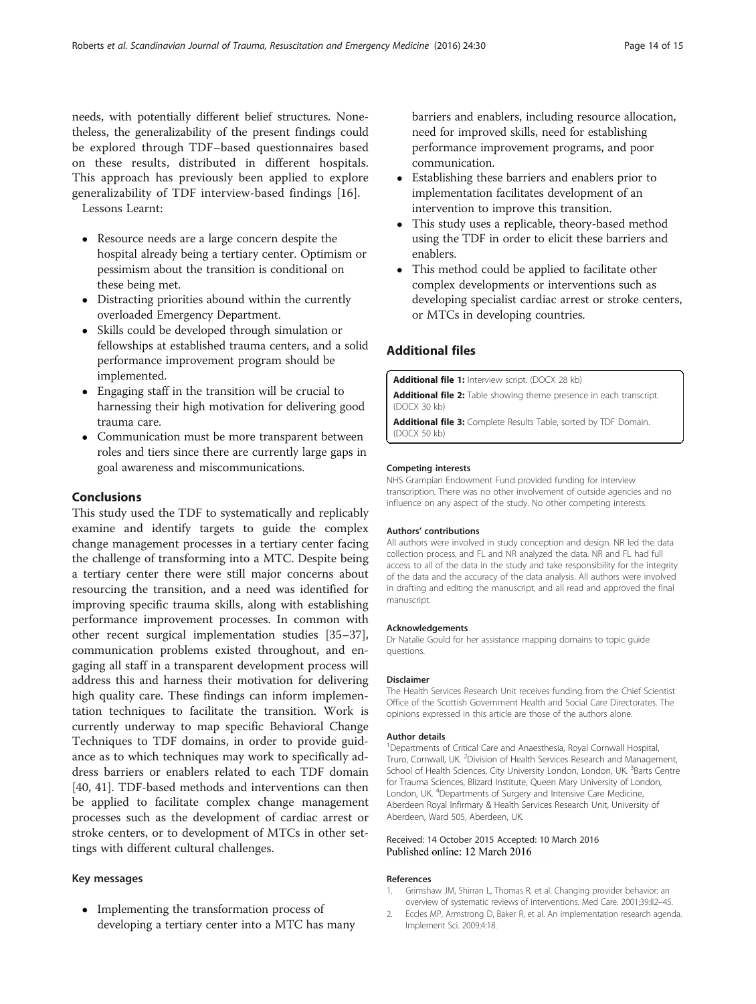<span id="page-13-0"></span>needs, with potentially different belief structures. Nonetheless, the generalizability of the present findings could be explored through TDF–based questionnaires based on these results, distributed in different hospitals. This approach has previously been applied to explore generalizability of TDF interview-based findings [\[16\]](#page-14-0). Lessons Learnt:

- Resource needs are a large concern despite the hospital already being a tertiary center. Optimism or pessimism about the transition is conditional on these being met.
- Distracting priorities abound within the currently overloaded Emergency Department.
- Skills could be developed through simulation or fellowships at established trauma centers, and a solid performance improvement program should be implemented.
- Engaging staff in the transition will be crucial to harnessing their high motivation for delivering good trauma care.
- Communication must be more transparent between roles and tiers since there are currently large gaps in goal awareness and miscommunications.

## Conclusions

This study used the TDF to systematically and replicably examine and identify targets to guide the complex change management processes in a tertiary center facing the challenge of transforming into a MTC. Despite being a tertiary center there were still major concerns about resourcing the transition, and a need was identified for improving specific trauma skills, along with establishing performance improvement processes. In common with other recent surgical implementation studies [[35](#page-14-0)–[37](#page-14-0)], communication problems existed throughout, and engaging all staff in a transparent development process will address this and harness their motivation for delivering high quality care. These findings can inform implementation techniques to facilitate the transition. Work is currently underway to map specific Behavioral Change Techniques to TDF domains, in order to provide guidance as to which techniques may work to specifically address barriers or enablers related to each TDF domain [[40, 41\]](#page-14-0). TDF-based methods and interventions can then be applied to facilitate complex change management processes such as the development of cardiac arrest or stroke centers, or to development of MTCs in other settings with different cultural challenges.

### Key messages

• Implementing the transformation process of developing a tertiary center into a MTC has many barriers and enablers, including resource allocation, need for improved skills, need for establishing performance improvement programs, and poor communication.

- Establishing these barriers and enablers prior to implementation facilitates development of an intervention to improve this transition.
- This study uses a replicable, theory-based method using the TDF in order to elicit these barriers and enablers.
- This method could be applied to facilitate other complex developments or interventions such as developing specialist cardiac arrest or stroke centers, or MTCs in developing countries.

## Additional files

[Additional file 1:](dx.doi.org/10.1186/s13049-016-0226-3) Interview script. (DOCX 28 kb)

[Additional file 2:](dx.doi.org/10.1186/s13049-016-0226-3) Table showing theme presence in each transcript. (DOCX 30 kb)

[Additional file 3:](dx.doi.org/10.1186/s13049-016-0226-3) Complete Results Table, sorted by TDF Domain. (DOCX 50 kb)

#### Competing interests

NHS Grampian Endowment Fund provided funding for interview transcription. There was no other involvement of outside agencies and no influence on any aspect of the study. No other competing interests.

#### Authors' contributions

All authors were involved in study conception and design. NR led the data collection process, and FL and NR analyzed the data. NR and FL had full access to all of the data in the study and take responsibility for the integrity of the data and the accuracy of the data analysis. All authors were involved in drafting and editing the manuscript, and all read and approved the final manuscript.

#### Acknowledgements

Dr Natalie Gould for her assistance mapping domains to topic guide questions.

#### Disclaimer

The Health Services Research Unit receives funding from the Chief Scientist Office of the Scottish Government Health and Social Care Directorates. The opinions expressed in this article are those of the authors alone.

#### Author details

<sup>1</sup>Departments of Critical Care and Anaesthesia, Royal Cornwall Hospital Truro, Cornwall, UK. <sup>2</sup> Division of Health Services Research and Management, School of Health Sciences, City University London, London, UK. <sup>3</sup>Barts Centre for Trauma Sciences, Blizard Institute, Queen Mary University of London, London, UK. <sup>4</sup>Departments of Surgery and Intensive Care Medicine Aberdeen Royal Infirmary & Health Services Research Unit, University of Aberdeen, Ward 505, Aberdeen, UK.

#### Received: 14 October 2015 Accepted: 10 March 2016 Published online: 12 March 2016

#### References

- 1. Grimshaw JM, Shirran L, Thomas R, et al. Changing provider behavior: an overview of systematic reviews of interventions. Med Care. 2001;39:II2–45.
- 2. Eccles MP, Armstrong D, Baker R, et al. An implementation research agenda. Implement Sci. 2009;4:18.